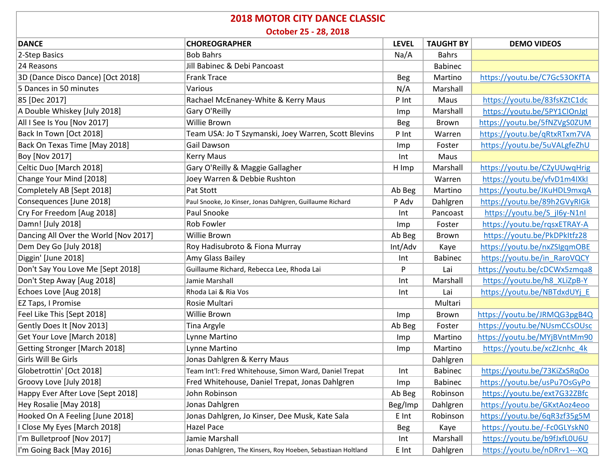| <b>2018 MOTOR CITY DANCE CLASSIC</b><br>October 25 - 28, 2018 |                                                              |            |                |                              |  |  |
|---------------------------------------------------------------|--------------------------------------------------------------|------------|----------------|------------------------------|--|--|
|                                                               |                                                              |            |                |                              |  |  |
| 2-Step Basics                                                 | <b>Bob Bahrs</b>                                             | Na/A       | <b>Bahrs</b>   |                              |  |  |
| 24 Reasons                                                    | Jill Babinec & Debi Pancoast                                 |            | <b>Babinec</b> |                              |  |  |
| 3D (Dance Disco Dance) [Oct 2018]                             | <b>Frank Trace</b>                                           | <b>Beg</b> | Martino        | https://youtu.be/C7Gc53OKfTA |  |  |
| 5 Dances in 50 minutes                                        | Various                                                      | N/A        | Marshall       |                              |  |  |
| 85 [Dec 2017]                                                 | Rachael McEnaney-White & Kerry Maus                          | P Int      | Maus           | https://youtu.be/83fsKZtC1dc |  |  |
| A Double Whiskey [July 2018]                                  | Gary O'Reilly                                                | Imp        | Marshall       | https://youtu.be/5PY1ClOnJgl |  |  |
| All I See Is You [Nov 2017]                                   | Willie Brown                                                 | Beg        | Brown          | https://youtu.be/5fNZVgS0ZUM |  |  |
| Back In Town [Oct 2018]                                       | Team USA: Jo T Szymanski, Joey Warren, Scott Blevins         | P Int      | Warren         | https://youtu.be/gRtxRTxm7VA |  |  |
| Back On Texas Time [May 2018]                                 | Gail Dawson                                                  | Imp        | Foster         | https://youtu.be/5uVALgfeZhU |  |  |
| Boy [Nov 2017]                                                | <b>Kerry Maus</b>                                            | Int        | Maus           |                              |  |  |
| Celtic Duo [March 2018]                                       | Gary O'Reilly & Maggie Gallagher                             | H Imp      | Marshall       | https://youtu.be/CZyUUwqHrig |  |  |
| Change Your Mind [2018]                                       | Joey Warren & Debbie Rushton                                 |            | Warren         | https://youtu.be/vfvD1m4IXkI |  |  |
| Completely AB [Sept 2018]                                     | Pat Stott                                                    | Ab Beg     | Martino        | https://youtu.be/JKuHDL9mxqA |  |  |
| Consequences [June 2018]                                      | Paul Snooke, Jo Kinser, Jonas Dahlgren, Guillaume Richard    | P Adv      | Dahlgren       | https://youtu.be/89h2GVyRIGk |  |  |
| Cry For Freedom [Aug 2018]                                    | Paul Snooke                                                  | Int        | Pancoast       | https://youtu.be/S jl6y-N1nl |  |  |
| Damn! [July 2018]                                             | Rob Fowler                                                   | Imp        | Foster         | https://youtu.be/rqsxETRAY-A |  |  |
| Dancing All Over the World [Nov 2017]                         | Willie Brown                                                 | Ab Beg     | Brown          | https://youtu.be/PkDPkItfz28 |  |  |
| Dem Dey Go [July 2018]                                        | Roy Hadisubroto & Fiona Murray                               | Int/Adv    | Kaye           | https://youtu.be/nxZSIgqmOBE |  |  |
| Diggin' [June 2018]                                           | Amy Glass Bailey                                             | Int        | <b>Babinec</b> | https://youtu.be/in RaroVQCY |  |  |
| Don't Say You Love Me [Sept 2018]                             | Guillaume Richard, Rebecca Lee, Rhoda Lai                    | P          | Lai            | https://youtu.be/cDCWx5zmqa8 |  |  |
| Don't Step Away [Aug 2018]                                    | Jamie Marshall                                               | Int        | Marshall       | https://youtu.be/h8 XLiZpB-Y |  |  |
| Echoes Love [Aug 2018]                                        | Rhoda Lai & Ria Vos                                          | Int        | Lai            | https://youtu.be/NBTdxdUYj_E |  |  |
| EZ Taps, I Promise                                            | Rosie Multari                                                |            | Multari        |                              |  |  |
| Feel Like This [Sept 2018]                                    | Willie Brown                                                 | Imp        | Brown          | https://youtu.be/JRMQG3pgB4Q |  |  |
| Gently Does It [Nov 2013]                                     | Tina Argyle                                                  | Ab Beg     | Foster         | https://youtu.be/NUsmCCsOUsc |  |  |
| Get Your Love [March 2018]                                    | Lynne Martino                                                | Imp        | Martino        | https://youtu.be/MYjBVntMm90 |  |  |
| <b>Getting Stronger [March 2018]</b>                          | Lynne Martino                                                | Imp        | Martino        | https://youtu.be/xcZJcnhc 4k |  |  |
| Girls Will Be Girls                                           | Jonas Dahlgren & Kerry Maus                                  |            | Dahlgren       |                              |  |  |
| Globetrottin' [Oct 2018]                                      | Team Int'l: Fred Whitehouse, Simon Ward, Daniel Trepat       | Int        | <b>Babinec</b> | https://youtu.be/73KiZxSRqOo |  |  |
| Groovy Love [July 2018]                                       | Fred Whitehouse, Daniel Trepat, Jonas Dahlgren               | Imp        | <b>Babinec</b> | https://youtu.be/usPu7OsGyPo |  |  |
| Happy Ever After Love [Sept 2018]                             | John Robinson                                                | Ab Beg     | Robinson       | https://youtu.be/ext7G32ZBfc |  |  |
| Hey Rosalie [May 2018]                                        | Jonas Dahlgren                                               | Beg/Imp    | Dahlgren       | https://youtu.be/GKxtAoz4eoo |  |  |
| Hooked On A Feeling [June 2018]                               | Jonas Dahlgren, Jo Kinser, Dee Musk, Kate Sala               | E Int      | Robinson       | https://youtu.be/6qR3zf35g5M |  |  |
| Close My Eyes [March 2018]                                    | Hazel Pace                                                   | Beg        | Kaye           | https://youtu.be/-Fc0GLYskN0 |  |  |
| I'm Bulletproof [Nov 2017]                                    | Jamie Marshall                                               | Int        | Marshall       | https://youtu.be/b9fJxfL0U6U |  |  |
| I'm Going Back [May 2016]                                     | Jonas Dahlgren, The Kinsers, Roy Hoeben, Sebastiaan Holtland | E Int      | Dahlgren       | https://youtu.be/nDRrv1---XQ |  |  |